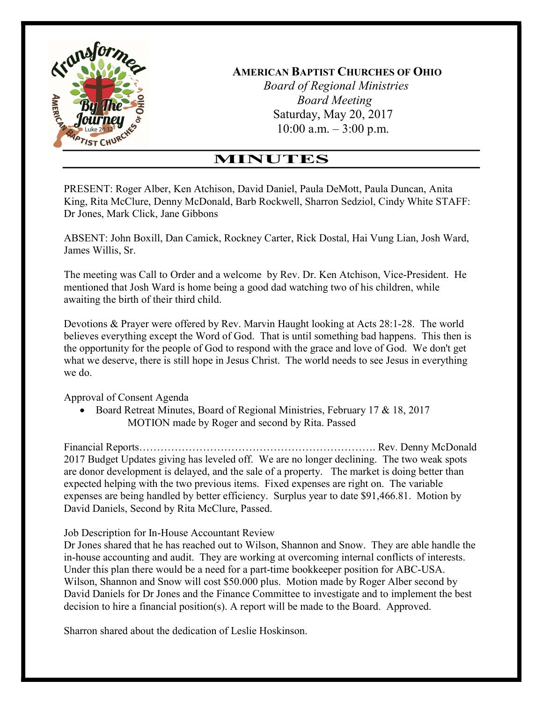

 Board of Regional Ministries Board Meeting Saturday, May 20, 2017  $10:00$  a.m.  $-3:00$  p.m.

# MINUTES

PRESENT: Roger Alber, Ken Atchison, David Daniel, Paula DeMott, Paula Duncan, Anita King, Rita McClure, Denny McDonald, Barb Rockwell, Sharron Sedziol, Cindy White STAFF: Dr Jones, Mark Click, Jane Gibbons

ABSENT: John Boxill, Dan Camick, Rockney Carter, Rick Dostal, Hai Vung Lian, Josh Ward, James Willis, Sr.

The meeting was Call to Order and a welcome by Rev. Dr. Ken Atchison, Vice-President. He mentioned that Josh Ward is home being a good dad watching two of his children, while awaiting the birth of their third child.

Devotions & Prayer were offered by Rev. Marvin Haught looking at Acts 28:1-28. The world believes everything except the Word of God. That is until something bad happens. This then is the opportunity for the people of God to respond with the grace and love of God. We don't get what we deserve, there is still hope in Jesus Christ. The world needs to see Jesus in everything we do.

Approval of Consent Agenda

• Board Retreat Minutes, Board of Regional Ministries, February 17 & 18, 2017 MOTION made by Roger and second by Rita. Passed

Financial Reports…………………………………………………………. Rev. Denny McDonald 2017 Budget Updates giving has leveled off. We are no longer declining. The two weak spots are donor development is delayed, and the sale of a property. The market is doing better than expected helping with the two previous items. Fixed expenses are right on. The variable expenses are being handled by better efficiency. Surplus year to date \$91,466.81. Motion by David Daniels, Second by Rita McClure, Passed.

Job Description for In-House Accountant Review

Dr Jones shared that he has reached out to Wilson, Shannon and Snow. They are able handle the in-house accounting and audit. They are working at overcoming internal conflicts of interests. Under this plan there would be a need for a part-time bookkeeper position for ABC-USA. Wilson, Shannon and Snow will cost \$50.000 plus. Motion made by Roger Alber second by David Daniels for Dr Jones and the Finance Committee to investigate and to implement the best decision to hire a financial position(s). A report will be made to the Board. Approved.

Sharron shared about the dedication of Leslie Hoskinson.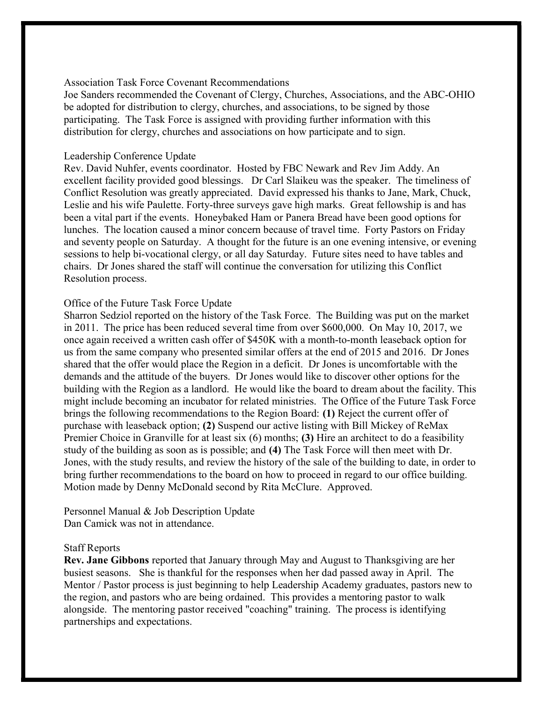### Association Task Force Covenant Recommendations

Joe Sanders recommended the Covenant of Clergy, Churches, Associations, and the ABC-OHIO be adopted for distribution to clergy, churches, and associations, to be signed by those participating. The Task Force is assigned with providing further information with this distribution for clergy, churches and associations on how participate and to sign.

#### Leadership Conference Update

Rev. David Nuhfer, events coordinator. Hosted by FBC Newark and Rev Jim Addy. An excellent facility provided good blessings. Dr Carl Slaikeu was the speaker. The timeliness of Conflict Resolution was greatly appreciated. David expressed his thanks to Jane, Mark, Chuck, Leslie and his wife Paulette. Forty-three surveys gave high marks. Great fellowship is and has been a vital part if the events. Honeybaked Ham or Panera Bread have been good options for lunches. The location caused a minor concern because of travel time. Forty Pastors on Friday and seventy people on Saturday. A thought for the future is an one evening intensive, or evening sessions to help bi-vocational clergy, or all day Saturday. Future sites need to have tables and chairs. Dr Jones shared the staff will continue the conversation for utilizing this Conflict Resolution process.

#### Office of the Future Task Force Update

Sharron Sedziol reported on the history of the Task Force. The Building was put on the market in 2011. The price has been reduced several time from over \$600,000. On May 10, 2017, we once again received a written cash offer of \$450K with a month-to-month leaseback option for us from the same company who presented similar offers at the end of 2015 and 2016. Dr Jones shared that the offer would place the Region in a deficit. Dr Jones is uncomfortable with the demands and the attitude of the buyers. Dr Jones would like to discover other options for the building with the Region as a landlord. He would like the board to dream about the facility. This might include becoming an incubator for related ministries. The Office of the Future Task Force brings the following recommendations to the Region Board: (1) Reject the current offer of purchase with leaseback option; (2) Suspend our active listing with Bill Mickey of ReMax Premier Choice in Granville for at least six (6) months; (3) Hire an architect to do a feasibility study of the building as soon as is possible; and (4) The Task Force will then meet with Dr. Jones, with the study results, and review the history of the sale of the building to date, in order to bring further recommendations to the board on how to proceed in regard to our office building. Motion made by Denny McDonald second by Rita McClure. Approved.

Personnel Manual & Job Description Update Dan Camick was not in attendance.

#### Staff Reports

Rev. Jane Gibbons reported that January through May and August to Thanksgiving are her busiest seasons. She is thankful for the responses when her dad passed away in April. The Mentor / Pastor process is just beginning to help Leadership Academy graduates, pastors new to the region, and pastors who are being ordained. This provides a mentoring pastor to walk alongside. The mentoring pastor received "coaching" training. The process is identifying partnerships and expectations.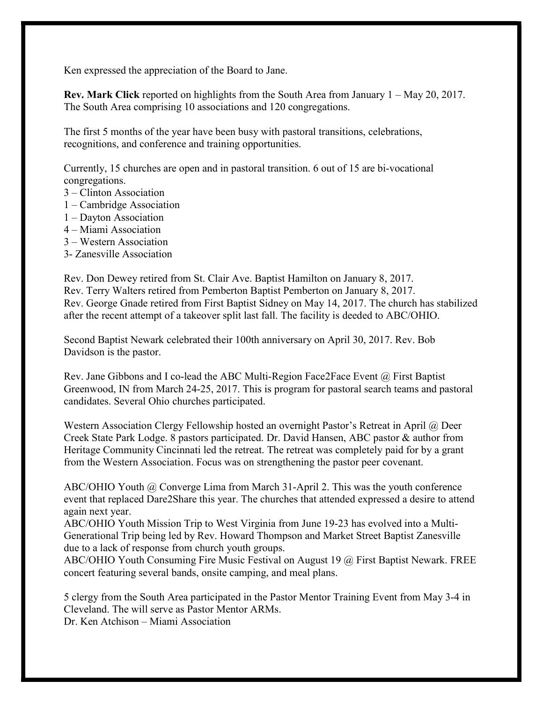Ken expressed the appreciation of the Board to Jane.

Rev. Mark Click reported on highlights from the South Area from January 1 – May 20, 2017. The South Area comprising 10 associations and 120 congregations.

The first 5 months of the year have been busy with pastoral transitions, celebrations, recognitions, and conference and training opportunities.

Currently, 15 churches are open and in pastoral transition. 6 out of 15 are bi-vocational congregations.

- 3 Clinton Association
- 1 Cambridge Association
- 1 Dayton Association
- 4 Miami Association
- 3 Western Association
- 3- Zanesville Association

Rev. Don Dewey retired from St. Clair Ave. Baptist Hamilton on January 8, 2017. Rev. Terry Walters retired from Pemberton Baptist Pemberton on January 8, 2017. Rev. George Gnade retired from First Baptist Sidney on May 14, 2017. The church has stabilized after the recent attempt of a takeover split last fall. The facility is deeded to ABC/OHIO.

Second Baptist Newark celebrated their 100th anniversary on April 30, 2017. Rev. Bob Davidson is the pastor.

Rev. Jane Gibbons and I co-lead the ABC Multi-Region Face2Face Event @ First Baptist Greenwood, IN from March 24-25, 2017. This is program for pastoral search teams and pastoral candidates. Several Ohio churches participated.

Western Association Clergy Fellowship hosted an overnight Pastor's Retreat in April @ Deer Creek State Park Lodge. 8 pastors participated. Dr. David Hansen, ABC pastor & author from Heritage Community Cincinnati led the retreat. The retreat was completely paid for by a grant from the Western Association. Focus was on strengthening the pastor peer covenant.

ABC/OHIO Youth @ Converge Lima from March 31-April 2. This was the youth conference event that replaced Dare2Share this year. The churches that attended expressed a desire to attend again next year.

ABC/OHIO Youth Mission Trip to West Virginia from June 19-23 has evolved into a Multi-Generational Trip being led by Rev. Howard Thompson and Market Street Baptist Zanesville due to a lack of response from church youth groups.

ABC/OHIO Youth Consuming Fire Music Festival on August 19 @ First Baptist Newark. FREE concert featuring several bands, onsite camping, and meal plans.

5 clergy from the South Area participated in the Pastor Mentor Training Event from May 3-4 in Cleveland. The will serve as Pastor Mentor ARMs.

Dr. Ken Atchison – Miami Association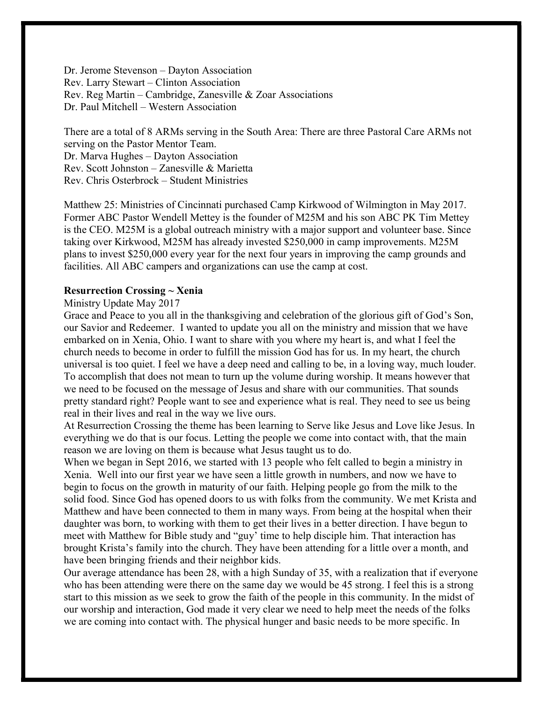Dr. Jerome Stevenson – Dayton Association Rev. Larry Stewart – Clinton Association Rev. Reg Martin – Cambridge, Zanesville & Zoar Associations Dr. Paul Mitchell – Western Association

There are a total of 8 ARMs serving in the South Area: There are three Pastoral Care ARMs not serving on the Pastor Mentor Team. Dr. Marva Hughes – Dayton Association Rev. Scott Johnston – Zanesville & Marietta Rev. Chris Osterbrock – Student Ministries

Matthew 25: Ministries of Cincinnati purchased Camp Kirkwood of Wilmington in May 2017. Former ABC Pastor Wendell Mettey is the founder of M25M and his son ABC PK Tim Mettey is the CEO. M25M is a global outreach ministry with a major support and volunteer base. Since taking over Kirkwood, M25M has already invested \$250,000 in camp improvements. M25M plans to invest \$250,000 every year for the next four years in improving the camp grounds and facilities. All ABC campers and organizations can use the camp at cost.

#### Resurrection Crossing ~ Xenia

### Ministry Update May 2017

Grace and Peace to you all in the thanksgiving and celebration of the glorious gift of God's Son, our Savior and Redeemer. I wanted to update you all on the ministry and mission that we have embarked on in Xenia, Ohio. I want to share with you where my heart is, and what I feel the church needs to become in order to fulfill the mission God has for us. In my heart, the church universal is too quiet. I feel we have a deep need and calling to be, in a loving way, much louder. To accomplish that does not mean to turn up the volume during worship. It means however that we need to be focused on the message of Jesus and share with our communities. That sounds pretty standard right? People want to see and experience what is real. They need to see us being real in their lives and real in the way we live ours.

At Resurrection Crossing the theme has been learning to Serve like Jesus and Love like Jesus. In everything we do that is our focus. Letting the people we come into contact with, that the main reason we are loving on them is because what Jesus taught us to do.

When we began in Sept 2016, we started with 13 people who felt called to begin a ministry in Xenia. Well into our first year we have seen a little growth in numbers, and now we have to begin to focus on the growth in maturity of our faith. Helping people go from the milk to the solid food. Since God has opened doors to us with folks from the community. We met Krista and Matthew and have been connected to them in many ways. From being at the hospital when their daughter was born, to working with them to get their lives in a better direction. I have begun to meet with Matthew for Bible study and "guy' time to help disciple him. That interaction has brought Krista's family into the church. They have been attending for a little over a month, and have been bringing friends and their neighbor kids.

Our average attendance has been 28, with a high Sunday of 35, with a realization that if everyone who has been attending were there on the same day we would be 45 strong. I feel this is a strong start to this mission as we seek to grow the faith of the people in this community. In the midst of our worship and interaction, God made it very clear we need to help meet the needs of the folks we are coming into contact with. The physical hunger and basic needs to be more specific. In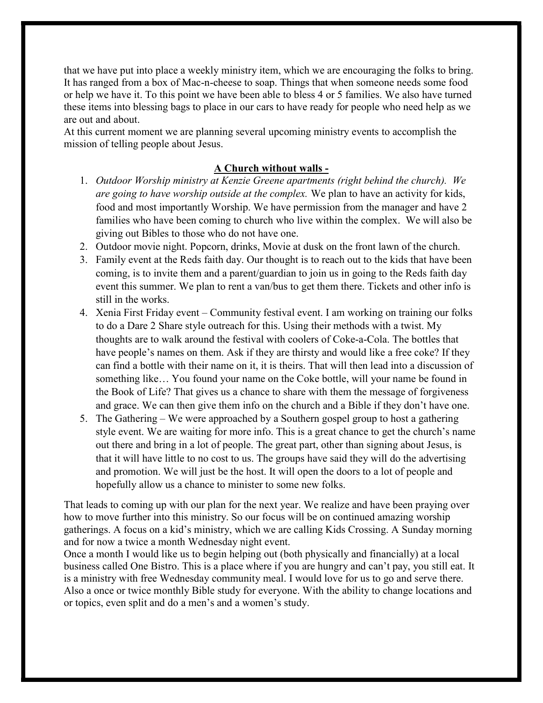that we have put into place a weekly ministry item, which we are encouraging the folks to bring. It has ranged from a box of Mac-n-cheese to soap. Things that when someone needs some food or help we have it. To this point we have been able to bless 4 or 5 families. We also have turned these items into blessing bags to place in our cars to have ready for people who need help as we are out and about.

At this current moment we are planning several upcoming ministry events to accomplish the mission of telling people about Jesus.

## A Church without walls -

- 1. Outdoor Worship ministry at Kenzie Greene apartments (right behind the church). We are going to have worship outside at the complex. We plan to have an activity for kids, food and most importantly Worship. We have permission from the manager and have 2 families who have been coming to church who live within the complex. We will also be giving out Bibles to those who do not have one.
- 2. Outdoor movie night. Popcorn, drinks, Movie at dusk on the front lawn of the church.
- 3. Family event at the Reds faith day. Our thought is to reach out to the kids that have been coming, is to invite them and a parent/guardian to join us in going to the Reds faith day event this summer. We plan to rent a van/bus to get them there. Tickets and other info is still in the works.
- 4. Xenia First Friday event Community festival event. I am working on training our folks to do a Dare 2 Share style outreach for this. Using their methods with a twist. My thoughts are to walk around the festival with coolers of Coke-a-Cola. The bottles that have people's names on them. Ask if they are thirsty and would like a free coke? If they can find a bottle with their name on it, it is theirs. That will then lead into a discussion of something like… You found your name on the Coke bottle, will your name be found in the Book of Life? That gives us a chance to share with them the message of forgiveness and grace. We can then give them info on the church and a Bible if they don't have one.
- 5. The Gathering We were approached by a Southern gospel group to host a gathering style event. We are waiting for more info. This is a great chance to get the church's name out there and bring in a lot of people. The great part, other than signing about Jesus, is that it will have little to no cost to us. The groups have said they will do the advertising and promotion. We will just be the host. It will open the doors to a lot of people and hopefully allow us a chance to minister to some new folks.

That leads to coming up with our plan for the next year. We realize and have been praying over how to move further into this ministry. So our focus will be on continued amazing worship gatherings. A focus on a kid's ministry, which we are calling Kids Crossing. A Sunday morning and for now a twice a month Wednesday night event.

Once a month I would like us to begin helping out (both physically and financially) at a local business called One Bistro. This is a place where if you are hungry and can't pay, you still eat. It is a ministry with free Wednesday community meal. I would love for us to go and serve there. Also a once or twice monthly Bible study for everyone. With the ability to change locations and or topics, even split and do a men's and a women's study.